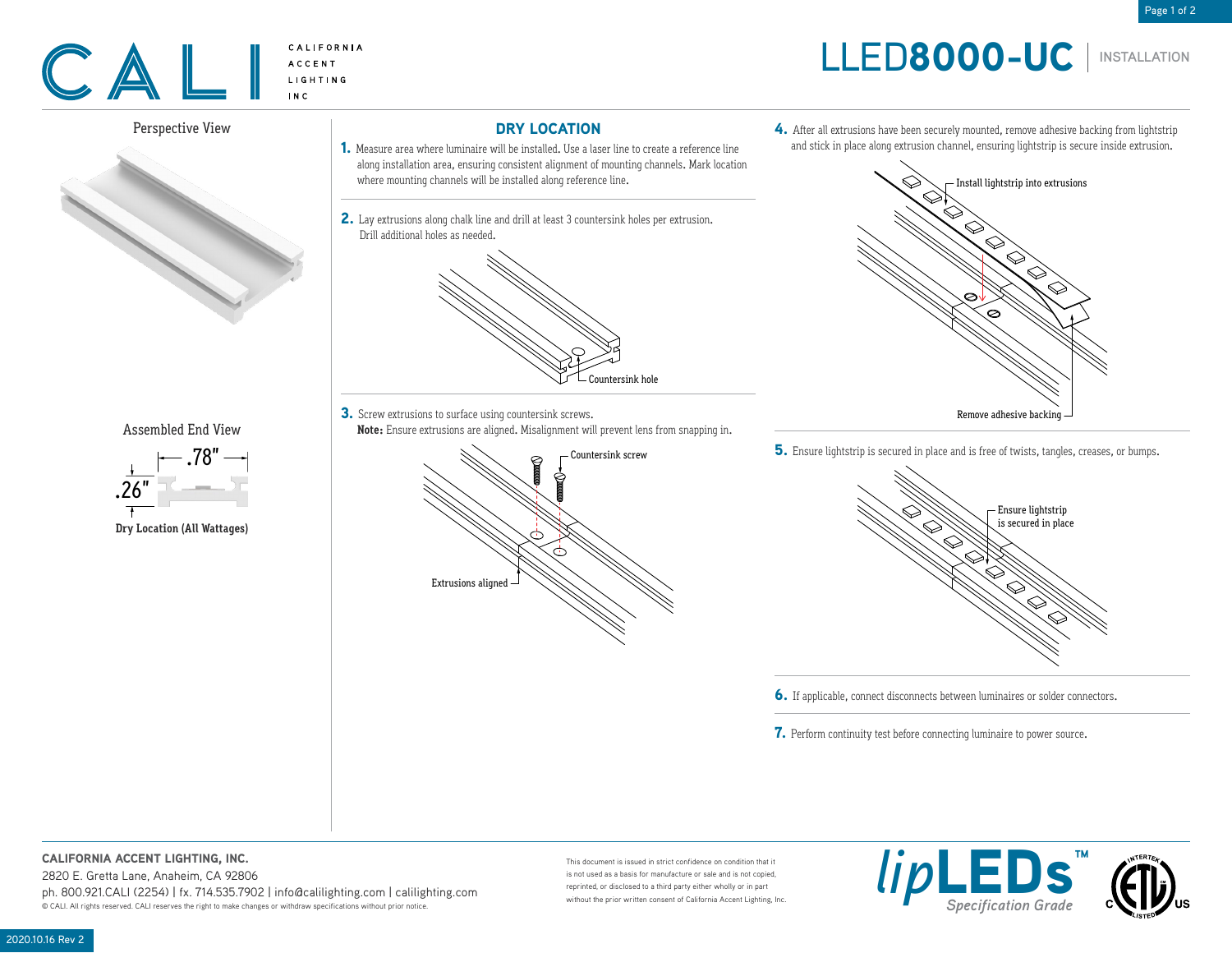# LLED8000-UC

4. After all extrusions have been securely mounted, remove adhesive backing from lightstrip and stick in place along extrusion channel, ensuring lightstrip is secure inside extrusion.

**INSTALLATION**



## Perspective View



Assembled End View



DRY LOCATION

- 1. Measure area where luminaire will be installed. Use a laser line to create a reference line along installation area, ensuring consistent alignment of mounting channels. Mark location where mounting channels will be installed along reference line.
- 2. Lay extrusions along chalk line and drill at least 3 countersink holes per extrusion. Drill additional holes as needed.



**3.** Screw extrusions to surface using countersink screws. **Note:** Ensure extrusions are aligned. Misalignment will prevent lens from snapping in.





5. Ensure lightstrip is secured in place and is free of twists, tangles, creases, or bumps.



6. If applicable, connect disconnects between luminaires or solder connectors.

7. Perform continuity test before connecting luminaire to power source.

## CALIFORNIA ACCENT LIGHTING, INC.

2820 E. Gretta Lane, Anaheim, CA 92806

ph. 800.921.CALI (2254) | fx. 714.535.7902 | info@calilighting.com | calilighting.com .<br>© CALI. All rights reserved. CALI reserves the right to make changes or withdraw specifications without prior notice.

This document is issued in strict confidence on condition that it is not used as a basis for manufacture or sale and is not copied, reprinted, or disclosed to a third party either wholly or in part without the prior written consent of California Accent Lighting, Inc.